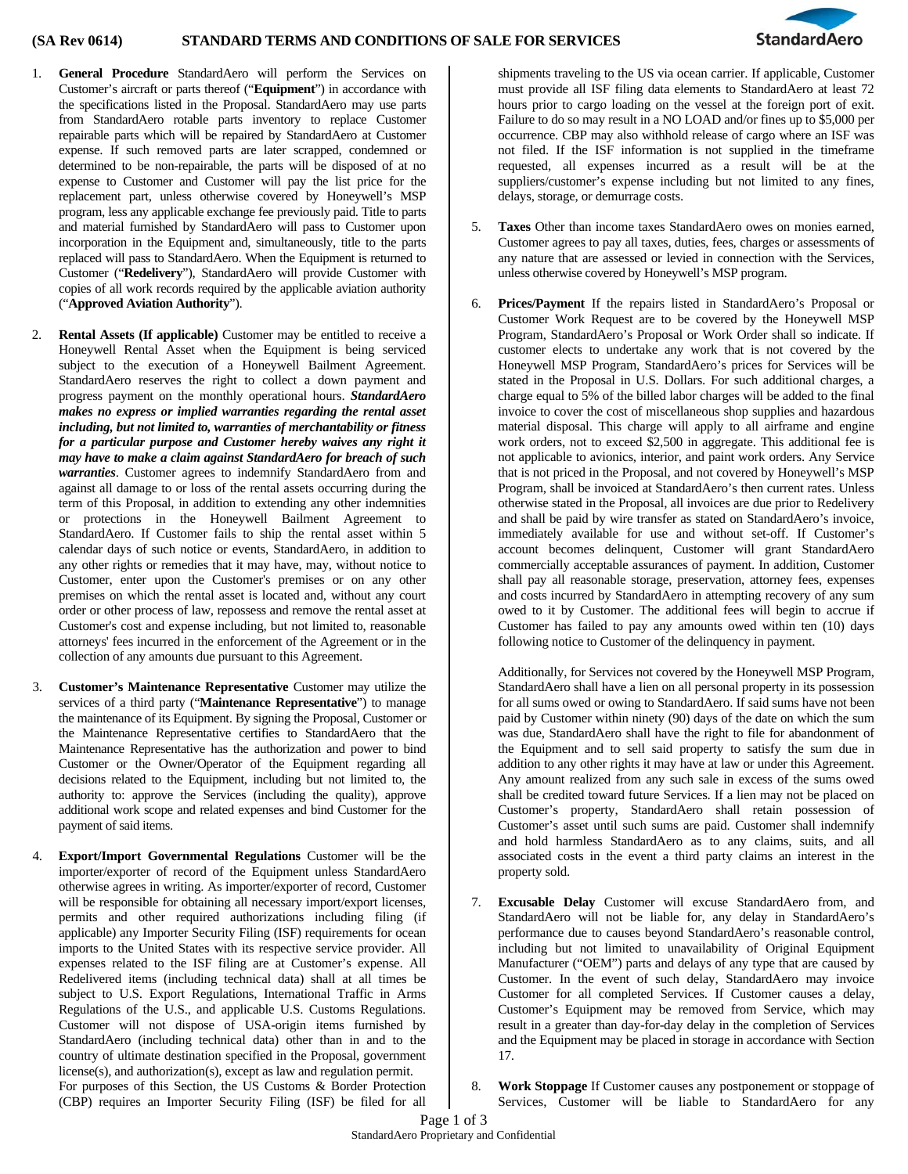

- 1. **General Procedure** StandardAero will perform the Services on Customer's aircraft or parts thereof ("**Equipment**") in accordance with the specifications listed in the Proposal. StandardAero may use parts from StandardAero rotable parts inventory to replace Customer repairable parts which will be repaired by StandardAero at Customer expense. If such removed parts are later scrapped, condemned or determined to be non-repairable, the parts will be disposed of at no expense to Customer and Customer will pay the list price for the replacement part, unless otherwise covered by Honeywell's MSP program, less any applicable exchange fee previously paid. Title to parts and material furnished by StandardAero will pass to Customer upon incorporation in the Equipment and, simultaneously, title to the parts replaced will pass to StandardAero. When the Equipment is returned to Customer ("**Redelivery**"), StandardAero will provide Customer with copies of all work records required by the applicable aviation authority ("**Approved Aviation Authority**").
- 2. **Rental Assets (If applicable)** Customer may be entitled to receive a Honeywell Rental Asset when the Equipment is being serviced subject to the execution of a Honeywell Bailment Agreement. StandardAero reserves the right to collect a down payment and progress payment on the monthly operational hours. *StandardAero makes no express or implied warranties regarding the rental asset including, but not limited to, warranties of merchantability or fitness for a particular purpose and Customer hereby waives any right it may have to make a claim against StandardAero for breach of such warranties*. Customer agrees to indemnify StandardAero from and against all damage to or loss of the rental assets occurring during the term of this Proposal, in addition to extending any other indemnities or protections in the Honeywell Bailment Agreement to StandardAero. If Customer fails to ship the rental asset within 5 calendar days of such notice or events, StandardAero, in addition to any other rights or remedies that it may have, may, without notice to Customer, enter upon the Customer's premises or on any other premises on which the rental asset is located and, without any court order or other process of law, repossess and remove the rental asset at Customer's cost and expense including, but not limited to, reasonable attorneys' fees incurred in the enforcement of the Agreement or in the collection of any amounts due pursuant to this Agreement.
- 3. **Customer's Maintenance Representative** Customer may utilize the services of a third party ("**Maintenance Representative**") to manage the maintenance of its Equipment. By signing the Proposal, Customer or the Maintenance Representative certifies to StandardAero that the Maintenance Representative has the authorization and power to bind Customer or the Owner/Operator of the Equipment regarding all decisions related to the Equipment, including but not limited to, the authority to: approve the Services (including the quality), approve additional work scope and related expenses and bind Customer for the payment of said items.
- 4. **Export/Import Governmental Regulations** Customer will be the importer/exporter of record of the Equipment unless StandardAero otherwise agrees in writing. As importer/exporter of record, Customer will be responsible for obtaining all necessary import/export licenses, permits and other required authorizations including filing (if applicable) any Importer Security Filing (ISF) requirements for ocean imports to the United States with its respective service provider. All expenses related to the ISF filing are at Customer's expense. All Redelivered items (including technical data) shall at all times be subject to U.S. Export Regulations, International Traffic in Arms Regulations of the U.S., and applicable U.S. Customs Regulations. Customer will not dispose of USA-origin items furnished by StandardAero (including technical data) other than in and to the country of ultimate destination specified in the Proposal, government license(s), and authorization(s), except as law and regulation permit. For purposes of this Section, the US Customs & Border Protection (CBP) requires an Importer Security Filing (ISF) be filed for all

shipments traveling to the US via ocean carrier. If applicable, Customer must provide all ISF filing data elements to StandardAero at least 72 hours prior to cargo loading on the vessel at the foreign port of exit. Failure to do so may result in a NO LOAD and/or fines up to \$5,000 per occurrence. CBP may also withhold release of cargo where an ISF was not filed. If the ISF information is not supplied in the timeframe requested, all expenses incurred as a result will be at the suppliers/customer's expense including but not limited to any fines, delays, storage, or demurrage costs.

- 5. **Taxes** Other than income taxes StandardAero owes on monies earned, Customer agrees to pay all taxes, duties, fees, charges or assessments of any nature that are assessed or levied in connection with the Services, unless otherwise covered by Honeywell's MSP program.
- 6. **Prices/Payment** If the repairs listed in StandardAero's Proposal or Customer Work Request are to be covered by the Honeywell MSP Program, StandardAero's Proposal or Work Order shall so indicate. If customer elects to undertake any work that is not covered by the Honeywell MSP Program, StandardAero's prices for Services will be stated in the Proposal in U.S. Dollars. For such additional charges, a charge equal to 5% of the billed labor charges will be added to the final invoice to cover the cost of miscellaneous shop supplies and hazardous material disposal. This charge will apply to all airframe and engine work orders, not to exceed \$2,500 in aggregate. This additional fee is not applicable to avionics, interior, and paint work orders. Any Service that is not priced in the Proposal, and not covered by Honeywell's MSP Program, shall be invoiced at StandardAero's then current rates. Unless otherwise stated in the Proposal, all invoices are due prior to Redelivery and shall be paid by wire transfer as stated on StandardAero's invoice, immediately available for use and without set-off. If Customer's account becomes delinquent, Customer will grant StandardAero commercially acceptable assurances of payment. In addition, Customer shall pay all reasonable storage, preservation, attorney fees, expenses and costs incurred by StandardAero in attempting recovery of any sum owed to it by Customer. The additional fees will begin to accrue if Customer has failed to pay any amounts owed within ten (10) days following notice to Customer of the delinquency in payment.

Additionally, for Services not covered by the Honeywell MSP Program, StandardAero shall have a lien on all personal property in its possession for all sums owed or owing to StandardAero. If said sums have not been paid by Customer within ninety (90) days of the date on which the sum was due, StandardAero shall have the right to file for abandonment of the Equipment and to sell said property to satisfy the sum due in addition to any other rights it may have at law or under this Agreement. Any amount realized from any such sale in excess of the sums owed shall be credited toward future Services. If a lien may not be placed on Customer's property, StandardAero shall retain possession of Customer's asset until such sums are paid. Customer shall indemnify and hold harmless StandardAero as to any claims, suits, and all associated costs in the event a third party claims an interest in the property sold.

- 7. **Excusable Delay** Customer will excuse StandardAero from, and StandardAero will not be liable for, any delay in StandardAero's performance due to causes beyond StandardAero's reasonable control, including but not limited to unavailability of Original Equipment Manufacturer ("OEM") parts and delays of any type that are caused by Customer. In the event of such delay, StandardAero may invoice Customer for all completed Services. If Customer causes a delay, Customer's Equipment may be removed from Service, which may result in a greater than day-for-day delay in the completion of Services and the Equipment may be placed in storage in accordance with Section 17.
- 8. **Work Stoppage** If Customer causes any postponement or stoppage of Services, Customer will be liable to StandardAero for any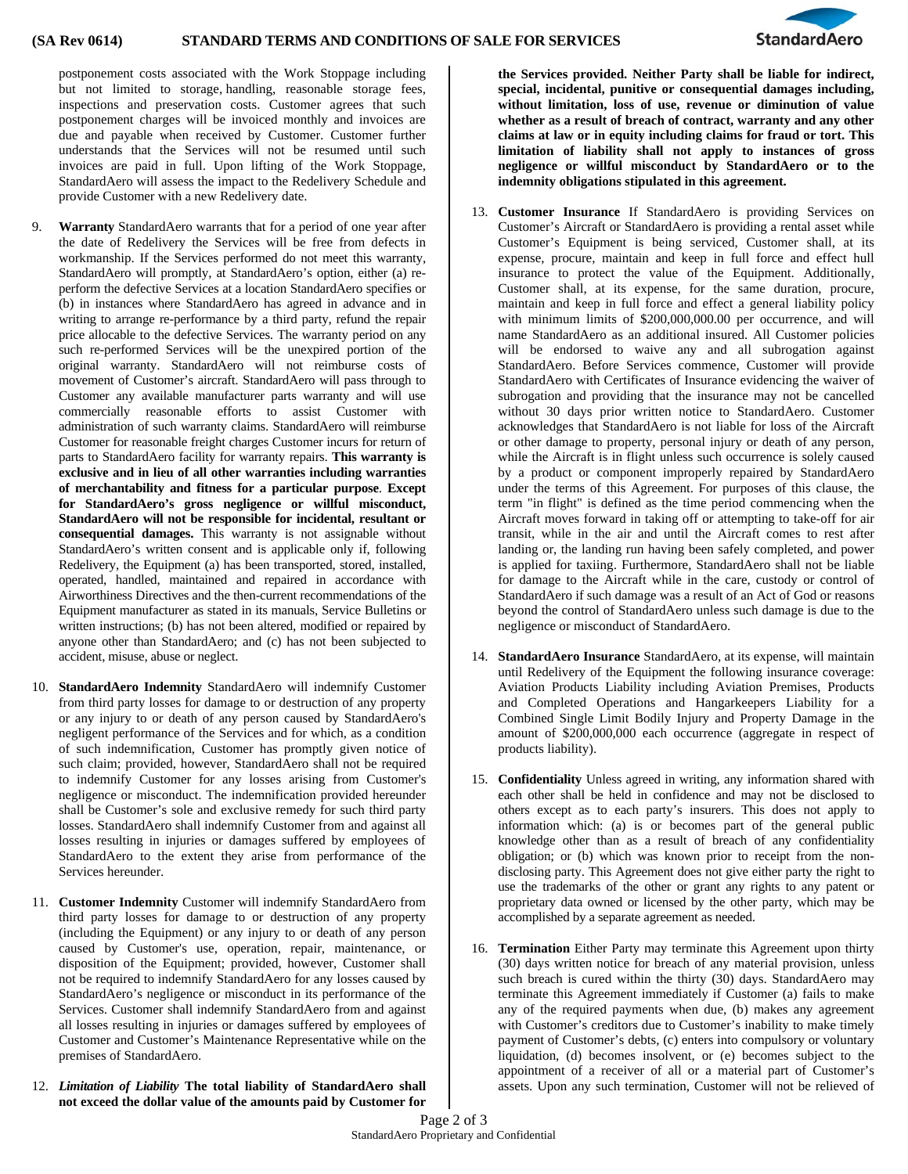

postponement costs associated with the Work Stoppage including but not limited to storage, handling, reasonable storage fees, inspections and preservation costs. Customer agrees that such postponement charges will be invoiced monthly and invoices are due and payable when received by Customer. Customer further understands that the Services will not be resumed until such invoices are paid in full. Upon lifting of the Work Stoppage, StandardAero will assess the impact to the Redelivery Schedule and provide Customer with a new Redelivery date.

- 9. **Warranty** StandardAero warrants that for a period of one year after the date of Redelivery the Services will be free from defects in workmanship. If the Services performed do not meet this warranty, StandardAero will promptly, at StandardAero's option, either (a) reperform the defective Services at a location StandardAero specifies or (b) in instances where StandardAero has agreed in advance and in writing to arrange re-performance by a third party, refund the repair price allocable to the defective Services. The warranty period on any such re-performed Services will be the unexpired portion of the original warranty. StandardAero will not reimburse costs of movement of Customer's aircraft. StandardAero will pass through to Customer any available manufacturer parts warranty and will use commercially reasonable efforts to assist Customer with administration of such warranty claims. StandardAero will reimburse Customer for reasonable freight charges Customer incurs for return of parts to StandardAero facility for warranty repairs. **This warranty is exclusive and in lieu of all other warranties including warranties of merchantability and fitness for a particular purpose**. **Except for StandardAero's gross negligence or willful misconduct, StandardAero will not be responsible for incidental, resultant or consequential damages.** This warranty is not assignable without StandardAero's written consent and is applicable only if, following Redelivery, the Equipment (a) has been transported, stored, installed, operated, handled, maintained and repaired in accordance with Airworthiness Directives and the then-current recommendations of the Equipment manufacturer as stated in its manuals, Service Bulletins or written instructions; (b) has not been altered, modified or repaired by anyone other than StandardAero; and (c) has not been subjected to accident, misuse, abuse or neglect.
- 10. **StandardAero Indemnity** StandardAero will indemnify Customer from third party losses for damage to or destruction of any property or any injury to or death of any person caused by StandardAero's negligent performance of the Services and for which, as a condition of such indemnification, Customer has promptly given notice of such claim; provided, however, StandardAero shall not be required to indemnify Customer for any losses arising from Customer's negligence or misconduct. The indemnification provided hereunder shall be Customer's sole and exclusive remedy for such third party losses. StandardAero shall indemnify Customer from and against all losses resulting in injuries or damages suffered by employees of StandardAero to the extent they arise from performance of the Services hereunder.
- 11. **Customer Indemnity** Customer will indemnify StandardAero from third party losses for damage to or destruction of any property (including the Equipment) or any injury to or death of any person caused by Customer's use, operation, repair, maintenance, or disposition of the Equipment; provided, however, Customer shall not be required to indemnify StandardAero for any losses caused by StandardAero's negligence or misconduct in its performance of the Services. Customer shall indemnify StandardAero from and against all losses resulting in injuries or damages suffered by employees of Customer and Customer's Maintenance Representative while on the premises of StandardAero.
- 12. *Limitation of Liability* **The total liability of StandardAero shall not exceed the dollar value of the amounts paid by Customer for**

**the Services provided. Neither Party shall be liable for indirect, special, incidental, punitive or consequential damages including, without limitation, loss of use, revenue or diminution of value whether as a result of breach of contract, warranty and any other claims at law or in equity including claims for fraud or tort. This limitation of liability shall not apply to instances of gross negligence or willful misconduct by StandardAero or to the indemnity obligations stipulated in this agreement.** 

- 13. **Customer Insurance** If StandardAero is providing Services on Customer's Aircraft or StandardAero is providing a rental asset while Customer's Equipment is being serviced, Customer shall, at its expense, procure, maintain and keep in full force and effect hull insurance to protect the value of the Equipment. Additionally, Customer shall, at its expense, for the same duration, procure, maintain and keep in full force and effect a general liability policy with minimum limits of \$200,000,000.00 per occurrence, and will name StandardAero as an additional insured. All Customer policies will be endorsed to waive any and all subrogation against StandardAero. Before Services commence, Customer will provide StandardAero with Certificates of Insurance evidencing the waiver of subrogation and providing that the insurance may not be cancelled without 30 days prior written notice to StandardAero. Customer acknowledges that StandardAero is not liable for loss of the Aircraft or other damage to property, personal injury or death of any person, while the Aircraft is in flight unless such occurrence is solely caused by a product or component improperly repaired by StandardAero under the terms of this Agreement. For purposes of this clause, the term "in flight" is defined as the time period commencing when the Aircraft moves forward in taking off or attempting to take-off for air transit, while in the air and until the Aircraft comes to rest after landing or, the landing run having been safely completed, and power is applied for taxiing. Furthermore, StandardAero shall not be liable for damage to the Aircraft while in the care, custody or control of StandardAero if such damage was a result of an Act of God or reasons beyond the control of StandardAero unless such damage is due to the negligence or misconduct of StandardAero.
- 14. **StandardAero Insurance** StandardAero, at its expense, will maintain until Redelivery of the Equipment the following insurance coverage: Aviation Products Liability including Aviation Premises, Products and Completed Operations and Hangarkeepers Liability for a Combined Single Limit Bodily Injury and Property Damage in the amount of \$200,000,000 each occurrence (aggregate in respect of products liability).
- 15. **Confidentiality** Unless agreed in writing, any information shared with each other shall be held in confidence and may not be disclosed to others except as to each party's insurers. This does not apply to information which: (a) is or becomes part of the general public knowledge other than as a result of breach of any confidentiality obligation; or (b) which was known prior to receipt from the nondisclosing party. This Agreement does not give either party the right to use the trademarks of the other or grant any rights to any patent or proprietary data owned or licensed by the other party, which may be accomplished by a separate agreement as needed.
- 16. **Termination** Either Party may terminate this Agreement upon thirty (30) days written notice for breach of any material provision, unless such breach is cured within the thirty (30) days. StandardAero may terminate this Agreement immediately if Customer (a) fails to make any of the required payments when due, (b) makes any agreement with Customer's creditors due to Customer's inability to make timely payment of Customer's debts, (c) enters into compulsory or voluntary liquidation, (d) becomes insolvent, or (e) becomes subject to the appointment of a receiver of all or a material part of Customer's assets. Upon any such termination, Customer will not be relieved of